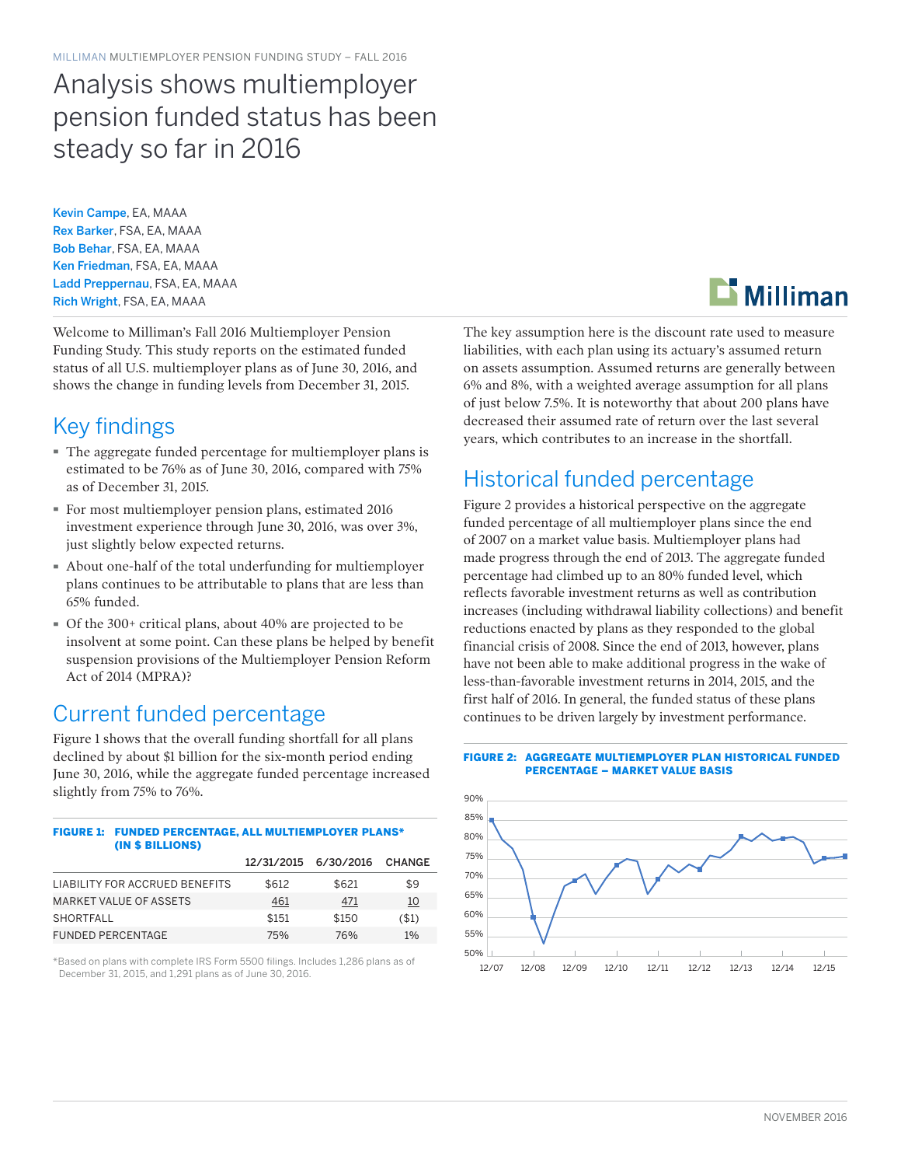# Analysis shows multiemployer pension funded status has been steady so far in 2016

[Kevin Campe](mailto:kevin.campe%40milliman.com?subject=), EA, MAAA Rex Barker, FSA, EA, MAAA Bob Behar, FSA, EA, MAAA Ken Friedman, FSA, EA, MAAA Ladd Preppernau, FSA, EA, MAAA Rich Wright, FSA, EA, MAAA

Welcome to Milliman's Fall 2016 Multiemployer Pension Funding Study. This study reports on the estimated funded status of all U.S. multiemployer plans as of June 30, 2016, and shows the change in funding levels from December 31, 2015.

# Key findings

- · The aggregate funded percentage for multiemployer plans is estimated to be 76% as of June 30, 2016, compared with 75% as of December 31, 2015.
- · For most multiemployer pension plans, estimated 2016 investment experience through June 30, 2016, was over 3%, just slightly below expected returns.
- · About one-half of the total underfunding for multiemployer plans continues to be attributable to plans that are less than 65% funded.
- · Of the 300+ critical plans, about 40% are projected to be insolvent at some point. Can these plans be helped by benefit suspension provisions of the Multiemployer Pension Reform Act of 2014 (MPRA)?

### Current funded percentage

Figure 1 shows that the overall funding shortfall for all plans declined by about \$1 billion for the six-month period ending June 30, 2016, while the aggregate funded percentage increased slightly from 75% to 76%.

FIGURE 1: FUNDED REDGENTAGE, ALL MULTIEMPLOYER PLANS\*

| (IN \$ BILLIONS)               | TIMONE AT TONOLO I ENOLDIAMETARE MOETIEMI EVIEN I EANO |                      |               |  |
|--------------------------------|--------------------------------------------------------|----------------------|---------------|--|
|                                |                                                        | 12/31/2015 6/30/2016 | <b>CHANGE</b> |  |
| LIABILITY FOR ACCRUED BENEFITS | \$612                                                  | \$621                | \$9           |  |
| <b>MARKET VALUE OF ASSETS</b>  | 461                                                    | 471                  | 10            |  |
| <b>SHORTFALL</b>               | \$151                                                  | \$150                | $($ \$1)      |  |
| <b>FUNDED PERCENTAGE</b>       | 75%                                                    | 76%                  | 1%            |  |

\*Based on plans with complete IRS Form 5500 filings. Includes 1,286 plans as of December 31, 2015, and 1,291 plans as of June 30, 2016.

The key assumption here is the discount rate used to measure liabilities, with each plan using its actuary's assumed return on assets assumption. Assumed returns are generally between 6% and 8%, with a weighted average assumption for all plans of just below 7.5%. It is noteworthy that about 200 plans have decreased their assumed rate of return over the last several years, which contributes to an increase in the shortfall.

### Historical funded percentage

Figure 2 provides a historical perspective on the aggregate funded percentage of all multiemployer plans since the end of 2007 on a market value basis. Multiemployer plans had made progress through the end of 2013. The aggregate funded percentage had climbed up to an 80% funded level, which reflects favorable investment returns as well as contribution increases (including withdrawal liability collections) and benefit reductions enacted by plans as they responded to the global financial crisis of 2008. Since the end of 2013, however, plans have not been able to make additional progress in the wake of less-than-favorable investment returns in 2014, 2015, and the first half of 2016. In general, the funded status of these plans continues to be driven largely by investment performance.

#### FIGURE 2: AGGREGATE MULTIEMPLOYER PLAN HISTORICAL FUNDED PERCENTAGE – MARKET VALUE BASIS



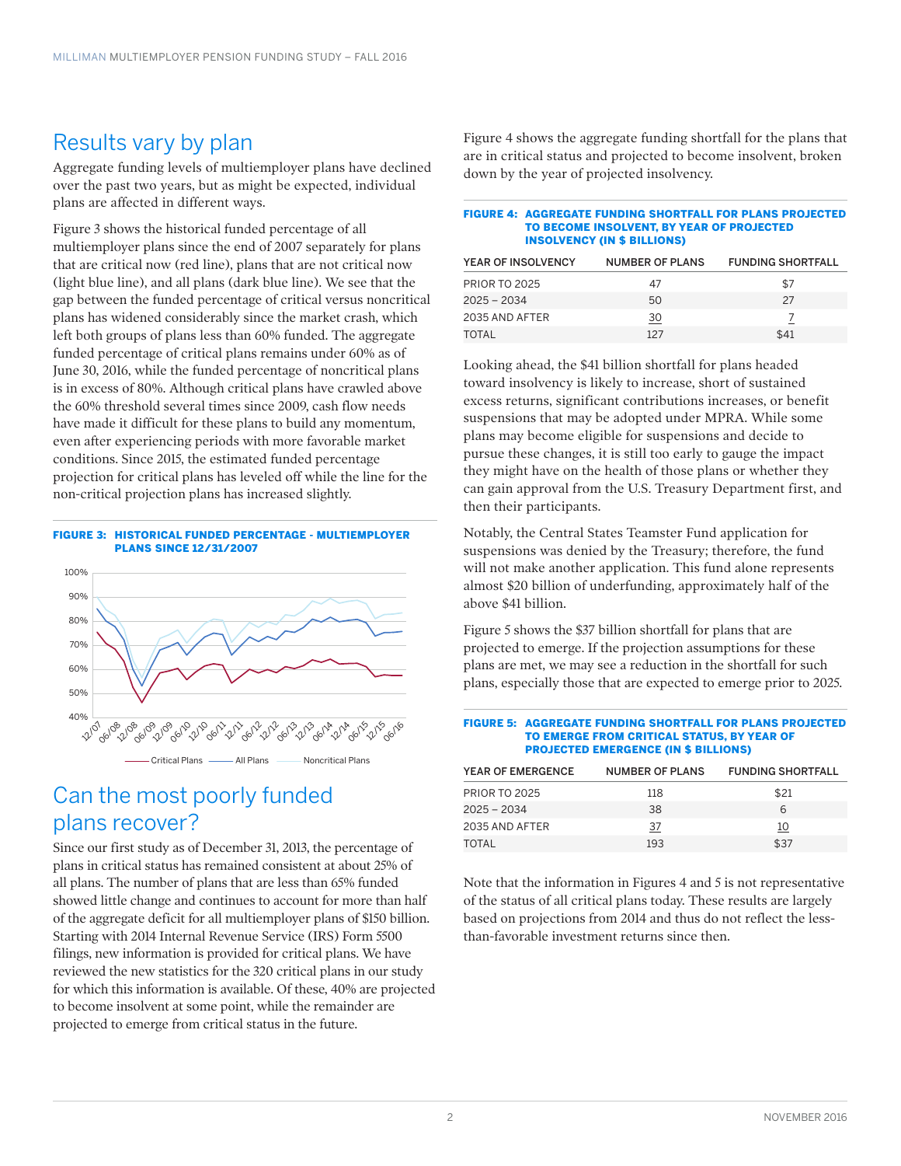# Results vary by plan

Aggregate funding levels of multiemployer plans have declined over the past two years, but as might be expected, individual plans are affected in different ways.

Figure 3 shows the historical funded percentage of all multiemployer plans since the end of 2007 separately for plans that are critical now (red line), plans that are not critical now (light blue line), and all plans (dark blue line). We see that the gap between the funded percentage of critical versus noncritical plans has widened considerably since the market crash, which left both groups of plans less than 60% funded. The aggregate funded percentage of critical plans remains under 60% as of June 30, 2016, while the funded percentage of noncritical plans is in excess of 80%. Although critical plans have crawled above the 60% threshold several times since 2009, cash flow needs have made it difficult for these plans to build any momentum, even after experiencing periods with more favorable market conditions. Since 2015, the estimated funded percentage projection for critical plans has leveled off while the line for the non-critical projection plans has increased slightly.

### FIGURE 3: HISTORICAL FUNDED PERCENTAGE - MULTIEMPLOYER PLANS SINCE 12/31/2007



### Can the most poorly funded plans recover?

Since our first study as of December 31, 2013, the percentage of plans in critical status has remained consistent at about 25% of all plans. The number of plans that are less than 65% funded showed little change and continues to account for more than half of the aggregate deficit for all multiemployer plans of \$150 billion. Starting with 2014 Internal Revenue Service (IRS) Form 5500 filings, new information is provided for critical plans. We have reviewed the new statistics for the 320 critical plans in our study for which this information is available. Of these, 40% are projected to become insolvent at some point, while the remainder are projected to emerge from critical status in the future.

Figure 4 shows the aggregate funding shortfall for the plans that are in critical status and projected to become insolvent, broken down by the year of projected insolvency.

#### FIGURE 4: AGGREGATE FUNDING SHORTFALL FOR PLANS PROJECTED TO BECOME INSOLVENT, BY YEAR OF PROJECTED INSOLVENCY (IN \$ BILLIONS)

| YEAR OF INSOLVENCY   | <b>NUMBER OF PLANS</b> | <b>FUNDING SHORTFALL</b> |
|----------------------|------------------------|--------------------------|
| <b>PRIOR TO 2025</b> | 47                     | \$7                      |
| $2025 - 2034$        | 50                     | 27                       |
| 2035 AND AFTER       | 30                     |                          |
| TOTAL                | 127                    | \$41                     |

Looking ahead, the \$41 billion shortfall for plans headed toward insolvency is likely to increase, short of sustained excess returns, significant contributions increases, or benefit suspensions that may be adopted under MPRA. While some plans may become eligible for suspensions and decide to pursue these changes, it is still too early to gauge the impact they might have on the health of those plans or whether they can gain approval from the U.S. Treasury Department first, and then their participants.

Notably, the Central States Teamster Fund application for suspensions was denied by the Treasury; therefore, the fund will not make another application. This fund alone represents almost \$20 billion of underfunding, approximately half of the above \$41 billion.

Figure 5 shows the \$37 billion shortfall for plans that are projected to emerge. If the projection assumptions for these plans are met, we may see a reduction in the shortfall for such plans, especially those that are expected to emerge prior to 2025.

#### FIGURE 5: AGGREGATE FUNDING SHORTFALL FOR PLANS PROJECTED TO EMERGE FROM CRITICAL STATUS, BY YEAR OF PROJECTED EMERGENCE (IN \$ BILLIONS)

| <b>YEAR OF EMERGENCE</b> | <b>NUMBER OF PLANS</b> | <b>FUNDING SHORTFALL</b> |
|--------------------------|------------------------|--------------------------|
| <b>PRIOR TO 2025</b>     | 118                    | \$21                     |
| $2025 - 2034$            | 38.                    | 6                        |
| 2035 AND AFTER           | 37                     | 10                       |
| TOTAL                    | 193                    | \$37                     |

Note that the information in Figures 4 and 5 is not representative of the status of all critical plans today. These results are largely based on projections from 2014 and thus do not reflect the lessthan-favorable investment returns since then.